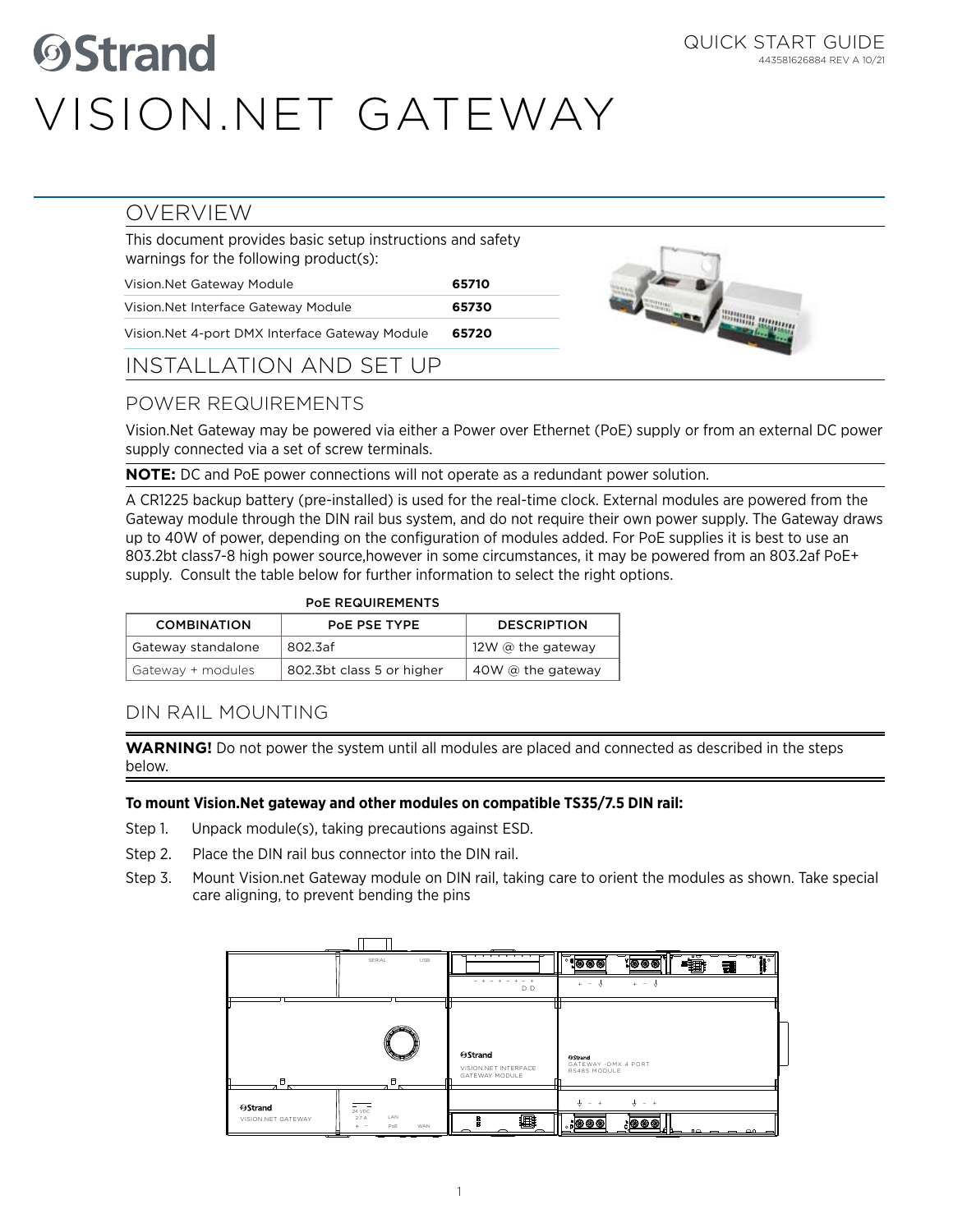# *<u>OStrand</u>* Vision.Net GATEWAY

 $\sim$ / $\sim$ 

### OVERVIEW

| This document provides basic setup instructions and safety<br>warnings for the following product(s): |       |
|------------------------------------------------------------------------------------------------------|-------|
| Vision. Net Gateway Module                                                                           | 65710 |
| Vision. Net Interface Gateway Module                                                                 | 65730 |
| Vision. Net 4-port DMX Interface Gateway Module                                                      | 65720 |

### INSTALLATION AND SET UP

# POWER REQUIREMENTS

Vision.Net Gateway may be powered via either a Power over Ethernet (PoE) supply or from an external DC power supply connected via a set of screw terminals.

**NOTE:** DC and PoE power connections will not operate as a redundant power solution.

A CR1225 backup battery (pre-installed) is used for the real-time clock. External modules are powered from the Gateway module through the DIN rail bus system, and do not require their own power supply. The Gateway draws up to 40W of power, depending on the configuration of modules added. For PoE supplies it is best to use an 803.2bt class7-8 high power source,however in some circumstances, it may be powered from an 803.2af PoE+ supply. Consult the table below for further information to select the right options.

| <b>POE REQUIREMENTS</b> |                           |                          |
|-------------------------|---------------------------|--------------------------|
| <b>COMBINATION</b>      | POE PSE TYPE              | <b>DESCRIPTION</b>       |
| Gateway standalone      | 802.3af                   | 12W $\omega$ the gateway |
| Gateway + modules       | 802.3bt class 5 or higher | $40W$ @ the gateway      |

## DIN RAIL MOUNTING

**WARNING!** Do not power the system until all modules are placed and connected as described in the steps below.

#### **To mount Vision.Net gateway and other modules on compatible TS35/7.5 DIN rail:**

- Step 1. Unpack module(s), taking precautions against ESD.
- Step 2. Place the DIN rail bus connector into the DIN rail.
- Step 3. Mount Vision.net Gateway module on DIN rail, taking care to orient the modules as shown. Take special care aligning, to prevent bending the pins